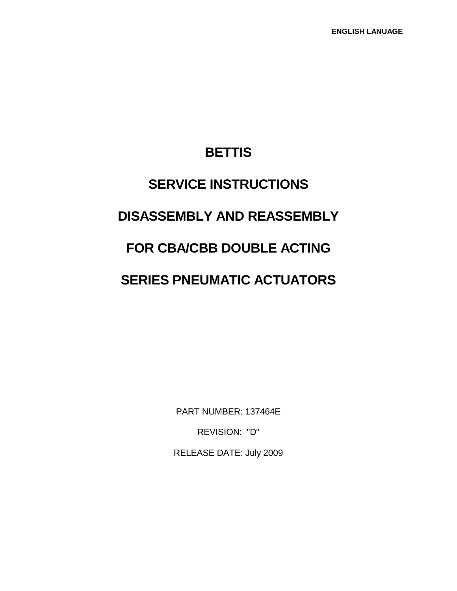## **BETTIS**

# **SERVICE INSTRUCTIONS DISASSEMBLY AND REASSEMBLY FOR CBA/CBB DOUBLE ACTING SERIES PNEUMATIC ACTUATORS**

PART NUMBER: 137464E

REVISION: "D"

RELEASE DATE: July 2009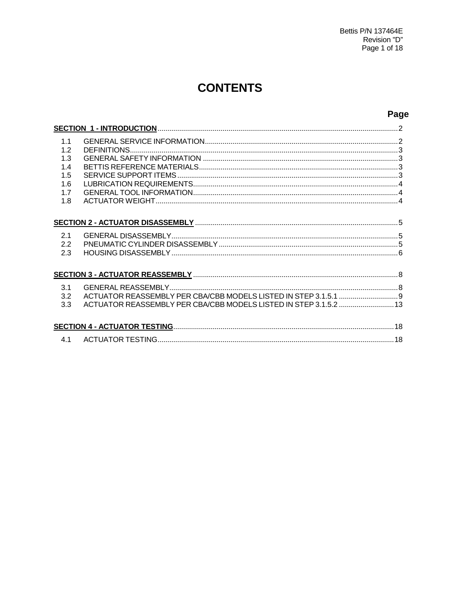## **CONTENTS**

## Page

| 1.1<br>1.2 |                                                                   |  |
|------------|-------------------------------------------------------------------|--|
| 1.3<br>1.4 |                                                                   |  |
| 1.5        |                                                                   |  |
| 1.6        |                                                                   |  |
| 1.7        |                                                                   |  |
| 1.8        |                                                                   |  |
|            |                                                                   |  |
| 2.1<br>2.2 |                                                                   |  |
| 2.3        |                                                                   |  |
|            |                                                                   |  |
| 3.1        |                                                                   |  |
| 3.2        |                                                                   |  |
| 3.3        | ACTUATOR REASSEMBLY PER CBA/CBB MODELS LISTED IN STEP 3.1.5.2  13 |  |
|            |                                                                   |  |
| 4.1        |                                                                   |  |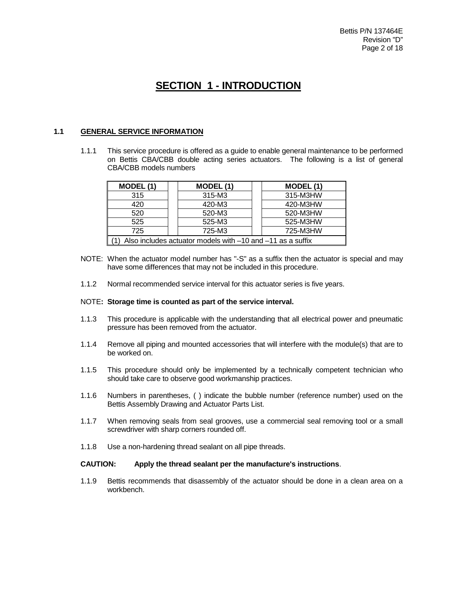## **SECTION 1 - INTRODUCTION**

#### **1.1 GENERAL SERVICE INFORMATION**

1.1.1 This service procedure is offered as a guide to enable general maintenance to be performed on Bettis CBA/CBB double acting series actuators. The following is a list of general CBA/CBB models numbers

| MODEL (1)                                                      | MODEL (1) | MODEL (1) |  |
|----------------------------------------------------------------|-----------|-----------|--|
| 315                                                            | 315-M3    | 315-M3HW  |  |
| 420                                                            | 420-M3    | 420-M3HW  |  |
| 520                                                            | 520-M3    | 520-M3HW  |  |
| 525                                                            | 525-M3    | 525-M3HW  |  |
| 725                                                            | 725-M3    | 725-M3HW  |  |
| Also includes actuator models with $-10$ and $-11$ as a suffix |           |           |  |

- NOTE: When the actuator model number has "-S" as a suffix then the actuator is special and may have some differences that may not be included in this procedure.
- 1.1.2 Normal recommended service interval for this actuator series is five years.

#### NOTE**: Storage time is counted as part of the service interval.**

- 1.1.3 This procedure is applicable with the understanding that all electrical power and pneumatic pressure has been removed from the actuator.
- 1.1.4 Remove all piping and mounted accessories that will interfere with the module(s) that are to be worked on.
- 1.1.5 This procedure should only be implemented by a technically competent technician who should take care to observe good workmanship practices.
- 1.1.6 Numbers in parentheses, ( ) indicate the bubble number (reference number) used on the Bettis Assembly Drawing and Actuator Parts List.
- 1.1.7 When removing seals from seal grooves, use a commercial seal removing tool or a small screwdriver with sharp corners rounded off.
- 1.1.8 Use a non-hardening thread sealant on all pipe threads.

#### **CAUTION: Apply the thread sealant per the manufacture's instructions**.

1.1.9 Bettis recommends that disassembly of the actuator should be done in a clean area on a workbench.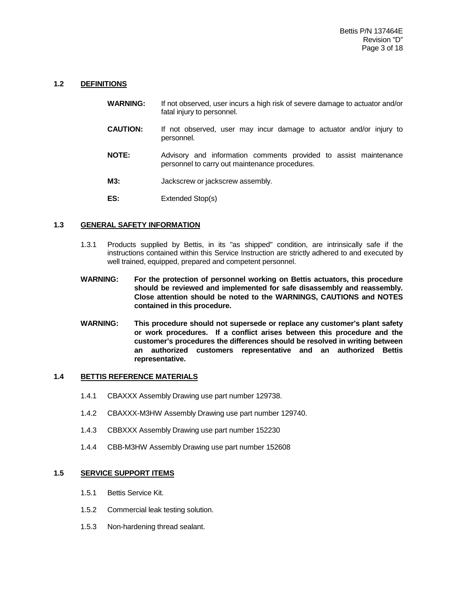#### **1.2 DEFINITIONS**

- **WARNING:** If not observed, user incurs a high risk of severe damage to actuator and/or fatal injury to personnel.
- **CAUTION:** If not observed, user may incur damage to actuator and/or injury to personnel.
- **NOTE:** Advisory and information comments provided to assist maintenance personnel to carry out maintenance procedures.
- **M3:** Jackscrew or jackscrew assembly.
- **ES:** Extended Stop(s)

#### **1.3 GENERAL SAFETY INFORMATION**

- 1.3.1 Products supplied by Bettis, in its "as shipped" condition, are intrinsically safe if the instructions contained within this Service Instruction are strictly adhered to and executed by well trained, equipped, prepared and competent personnel.
- **WARNING: For the protection of personnel working on Bettis actuators, this procedure should be reviewed and implemented for safe disassembly and reassembly. Close attention should be noted to the WARNINGS, CAUTIONS and NOTES contained in this procedure.**
- **WARNING: This procedure should not supersede or replace any customer's plant safety or work procedures. If a conflict arises between this procedure and the customer's procedures the differences should be resolved in writing between an authorized customers representative and an authorized Bettis representative.**

#### **1.4 BETTIS REFERENCE MATERIALS**

- 1.4.1 CBAXXX Assembly Drawing use part number 129738.
- 1.4.2 CBAXXX-M3HW Assembly Drawing use part number 129740.
- 1.4.3 CBBXXX Assembly Drawing use part number 152230
- 1.4.4 CBB-M3HW Assembly Drawing use part number 152608

#### **1.5 SERVICE SUPPORT ITEMS**

- 1.5.1 Bettis Service Kit.
- 1.5.2 Commercial leak testing solution.
- 1.5.3 Non-hardening thread sealant.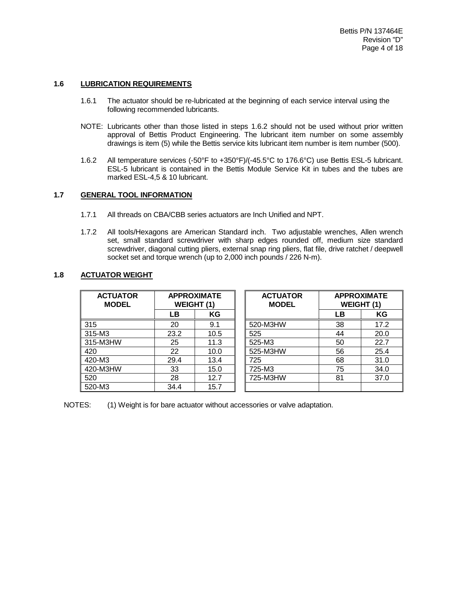#### **1.6 LUBRICATION REQUIREMENTS**

- 1.6.1 The actuator should be re-lubricated at the beginning of each service interval using the following recommended lubricants.
- NOTE: Lubricants other than those listed in steps 1.6.2 should not be used without prior written approval of Bettis Product Engineering. The lubricant item number on some assembly drawings is item (5) while the Bettis service kits lubricant item number is item number (500).
- 1.6.2 All temperature services (-50°F to +350°F)/(-45.5°C to 176.6°C) use Bettis ESL-5 lubricant. ESL-5 lubricant is contained in the Bettis Module Service Kit in tubes and the tubes are marked ESL-4,5 & 10 lubricant.

#### **1.7 GENERAL TOOL INFORMATION**

- 1.7.1 All threads on CBA/CBB series actuators are Inch Unified and NPT.
- 1.7.2 All tools/Hexagons are American Standard inch. Two adjustable wrenches, Allen wrench set, small standard screwdriver with sharp edges rounded off, medium size standard screwdriver, diagonal cutting pliers, external snap ring pliers, flat file, drive ratchet / deepwell socket set and torque wrench (up to 2,000 inch pounds / 226 N-m).

#### **1.8 ACTUATOR WEIGHT**

| <b>ACTUATOR</b><br><b>MODEL</b> | <b>APPROXIMATE</b><br>WEIGHT (1) |      | <b>ACTUATOR</b><br><b>MODEL</b> | <b>APPROXIMATE</b><br><b>WEIGHT (1)</b> |      |
|---------------------------------|----------------------------------|------|---------------------------------|-----------------------------------------|------|
|                                 | LΒ                               | ΚG   |                                 | LΒ                                      | KG   |
| 315                             | 20                               | 9.1  | 520-M3HW                        | 38                                      | 17.2 |
| 315-M3                          | 23.2                             | 10.5 | 525                             | 44                                      | 20.0 |
| 315-M3HW                        | 25                               | 11.3 | 525-M3                          | 50                                      | 22.7 |
| 420                             | 22                               | 10.0 | 525-M3HW                        | 56                                      | 25.4 |
| 420-M3                          | 29.4                             | 13.4 | 725                             | 68                                      | 31.0 |
| 420-M3HW                        | 33                               | 15.0 | 725-M3                          | 75                                      | 34.0 |
| 520                             | 28                               | 12.7 | 725-M3HW                        | 81                                      | 37.0 |
| 520-M3                          | 34.4                             | 15.7 |                                 |                                         |      |

NOTES: (1) Weight is for bare actuator without accessories or valve adaptation.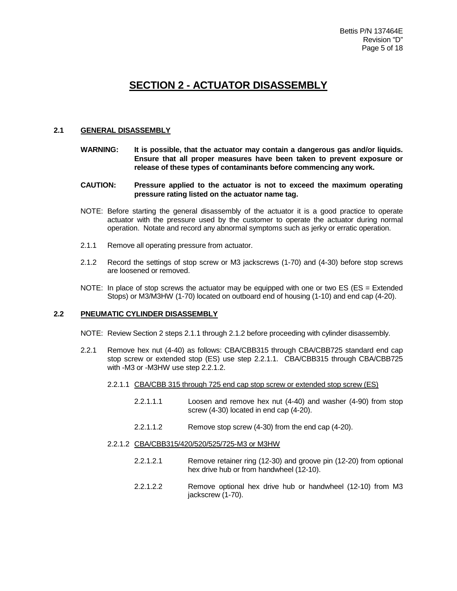## **SECTION 2 - ACTUATOR DISASSEMBLY**

#### **2.1 GENERAL DISASSEMBLY**

- **WARNING: It is possible, that the actuator may contain a dangerous gas and/or liquids. Ensure that all proper measures have been taken to prevent exposure or release of these types of contaminants before commencing any work.**
- **CAUTION: Pressure applied to the actuator is not to exceed the maximum operating pressure rating listed on the actuator name tag.**
- NOTE: Before starting the general disassembly of the actuator it is a good practice to operate actuator with the pressure used by the customer to operate the actuator during normal operation. Notate and record any abnormal symptoms such as jerky or erratic operation.
- 2.1.1 Remove all operating pressure from actuator.
- 2.1.2 Record the settings of stop screw or M3 jackscrews (1-70) and (4-30) before stop screws are loosened or removed.
- NOTE: In place of stop screws the actuator may be equipped with one or two  $ES$  ( $ES = Extended$ Stops) or M3/M3HW (1-70) located on outboard end of housing (1-10) and end cap (4-20).

#### **2.2 PNEUMATIC CYLINDER DISASSEMBLY**

- NOTE: Review Section 2 steps 2.1.1 through 2.1.2 before proceeding with cylinder disassembly.
- 2.2.1 Remove hex nut (4-40) as follows: CBA/CBB315 through CBA/CBB725 standard end cap stop screw or extended stop (ES) use step 2.2.1.1. CBA/CBB315 through CBA/CBB725 with -M3 or -M3HW use step 2.2.1.2.
	- 2.2.1.1 CBA/CBB 315 through 725 end cap stop screw or extended stop screw (ES)
		- 2.2.1.1.1 Loosen and remove hex nut (4-40) and washer (4-90) from stop screw (4-30) located in end cap (4-20).
		- 2.2.1.1.2 Remove stop screw (4-30) from the end cap (4-20).
	- 2.2.1.2 CBA/CBB315/420/520/525/725-M3 or M3HW
		- 2.2.1.2.1 Remove retainer ring (12-30) and groove pin (12-20) from optional hex drive hub or from handwheel (12-10).
		- 2.2.1.2.2 Remove optional hex drive hub or handwheel (12-10) from M3 jackscrew (1-70).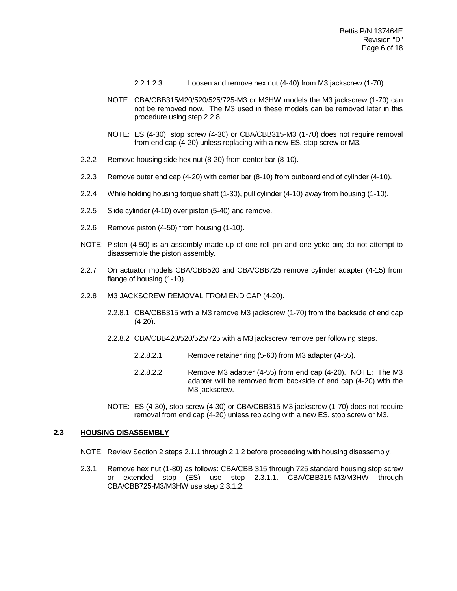- 2.2.1.2.3 Loosen and remove hex nut (4-40) from M3 jackscrew (1-70).
- NOTE: CBA/CBB315/420/520/525/725-M3 or M3HW models the M3 jackscrew (1-70) can not be removed now. The M3 used in these models can be removed later in this procedure using step 2.2.8.
- NOTE: ES (4-30), stop screw (4-30) or CBA/CBB315-M3 (1-70) does not require removal from end cap (4-20) unless replacing with a new ES, stop screw or M3.
- 2.2.2 Remove housing side hex nut (8-20) from center bar (8-10).
- 2.2.3 Remove outer end cap (4-20) with center bar (8-10) from outboard end of cylinder (4-10).
- 2.2.4 While holding housing torque shaft (1-30), pull cylinder (4-10) away from housing (1-10).
- 2.2.5 Slide cylinder (4-10) over piston (5-40) and remove.
- 2.2.6 Remove piston (4-50) from housing (1-10).
- NOTE: Piston (4-50) is an assembly made up of one roll pin and one yoke pin; do not attempt to disassemble the piston assembly.
- 2.2.7 On actuator models CBA/CBB520 and CBA/CBB725 remove cylinder adapter (4-15) from flange of housing (1-10).
- 2.2.8 M3 JACKSCREW REMOVAL FROM END CAP (4-20).
	- 2.2.8.1 CBA/CBB315 with a M3 remove M3 jackscrew (1-70) from the backside of end cap (4-20).
	- 2.2.8.2 CBA/CBB420/520/525/725 with a M3 jackscrew remove per following steps.
		- 2.2.8.2.1 Remove retainer ring (5-60) from M3 adapter (4-55).
		- 2.2.8.2.2 Remove M3 adapter (4-55) from end cap (4-20). NOTE: The M3 adapter will be removed from backside of end cap (4-20) with the M3 jackscrew.
	- NOTE: ES (4-30), stop screw (4-30) or CBA/CBB315-M3 jackscrew (1-70) does not require removal from end cap (4-20) unless replacing with a new ES, stop screw or M3.

#### **2.3 HOUSING DISASSEMBLY**

- NOTE: Review Section 2 steps 2.1.1 through 2.1.2 before proceeding with housing disassembly.
- 2.3.1 Remove hex nut (1-80) as follows: CBA/CBB 315 through 725 standard housing stop screw or extended stop (ES) use step 2.3.1.1. CBA/CBB315-M3/M3HW through CBA/CBB725-M3/M3HW use step 2.3.1.2.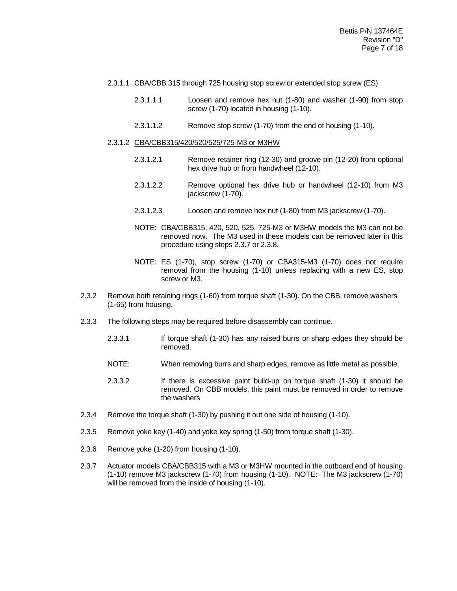#### 2.3.1.1 CBA/CBB 315 through 725 housing stop screw or extended stop screw (ES)

- 2.3.1.1.1 Loosen and remove hex nut (1-80) and washer (1-90) from stop screw (1-70) located in housing (1-10).
- 2.3.1.1.2 Remove stop screw (1-70) from the end of housing (1-10).

#### 2.3.1.2 CBA/CBB315/420/520/525/725-M3 or M3HW

- 2.3.1.2.1 Remove retainer ring (12-30) and groove pin (12-20) from optional hex drive hub or from handwheel (12-10).
- 2.3.1.2.2 Remove optional hex drive hub or handwheel (12-10) from M3 jackscrew (1-70).
- 2.3.1.2.3 Loosen and remove hex nut (1-80) from M3 jackscrew (1-70).
- NOTE: CBA/CBB315, 420, 520, 525, 725-M3 or M3HW models the M3 can not be removed now. The M3 used in these models can be removed later in this procedure using steps 2.3.7 or 2.3.8.
- NOTE: ES (1-70), stop screw (1-70) or CBA315-M3 (1-70) does not require removal from the housing (1-10) unless replacing with a new ES, stop screw or M3.
- 2.3.2 Remove both retaining rings (1-60) from torque shaft (1-30). On the CBB, remove washers (1-65) from housing.
- 2.3.3 The following steps may be required before disassembly can continue.
	- 2.3.3.1 If torque shaft (1-30) has any raised burrs or sharp edges they should be removed.
	- NOTE: When removing burrs and sharp edges, remove as little metal as possible.
	- 2.3.3.2 If there is excessive paint build-up on torque shaft (1-30) it should be removed. On CBB models, this paint must be removed in order to remove the washers
- 2.3.4 Remove the torque shaft (1-30) by pushing it out one side of housing (1-10).
- 2.3.5 Remove yoke key (1-40) and yoke key spring (1-50) from torque shaft (1-30).
- 2.3.6 Remove yoke (1-20) from housing (1-10).
- 2.3.7 Actuator models CBA/CBB315 with a M3 or M3HW mounted in the outboard end of housing (1-10) remove M3 jackscrew (1-70) from housing (1-10). NOTE: The M3 jackscrew (1-70) will be removed from the inside of housing (1-10).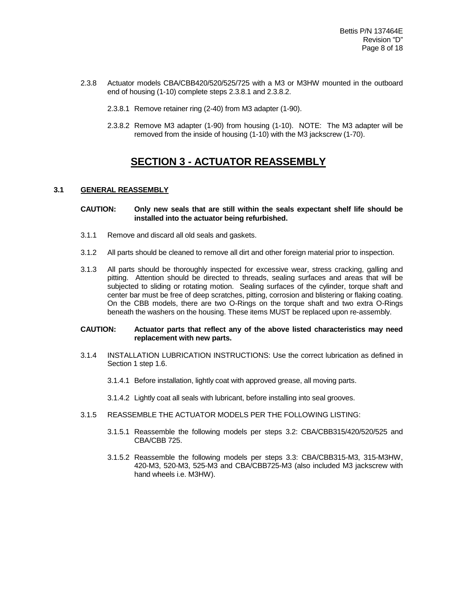- 2.3.8 Actuator models CBA/CBB420/520/525/725 with a M3 or M3HW mounted in the outboard end of housing (1-10) complete steps 2.3.8.1 and 2.3.8.2.
	- 2.3.8.1 Remove retainer ring (2-40) from M3 adapter (1-90).
	- 2.3.8.2 Remove M3 adapter (1-90) from housing (1-10). NOTE: The M3 adapter will be removed from the inside of housing (1-10) with the M3 jackscrew (1-70).

### **SECTION 3 - ACTUATOR REASSEMBLY**

#### **3.1 GENERAL REASSEMBLY**

#### **CAUTION: Only new seals that are still within the seals expectant shelf life should be installed into the actuator being refurbished.**

- 3.1.1 Remove and discard all old seals and gaskets.
- 3.1.2 All parts should be cleaned to remove all dirt and other foreign material prior to inspection.
- 3.1.3 All parts should be thoroughly inspected for excessive wear, stress cracking, galling and pitting. Attention should be directed to threads, sealing surfaces and areas that will be subjected to sliding or rotating motion. Sealing surfaces of the cylinder, torque shaft and center bar must be free of deep scratches, pitting, corrosion and blistering or flaking coating. On the CBB models, there are two O-Rings on the torque shaft and two extra O-Rings beneath the washers on the housing. These items MUST be replaced upon re-assembly.

#### **CAUTION: Actuator parts that reflect any of the above listed characteristics may need replacement with new parts.**

- 3.1.4 INSTALLATION LUBRICATION INSTRUCTIONS: Use the correct lubrication as defined in Section 1 step 1.6.
	- 3.1.4.1 Before installation, lightly coat with approved grease, all moving parts.
	- 3.1.4.2 Lightly coat all seals with lubricant, before installing into seal grooves.
- 3.1.5 REASSEMBLE THE ACTUATOR MODELS PER THE FOLLOWING LISTING:
	- 3.1.5.1 Reassemble the following models per steps 3.2: CBA/CBB315/420/520/525 and CBA/CBB 725.
	- 3.1.5.2 Reassemble the following models per steps 3.3: CBA/CBB315-M3, 315-M3HW, 420-M3, 520-M3, 525-M3 and CBA/CBB725-M3 (also included M3 jackscrew with hand wheels i.e. M3HW).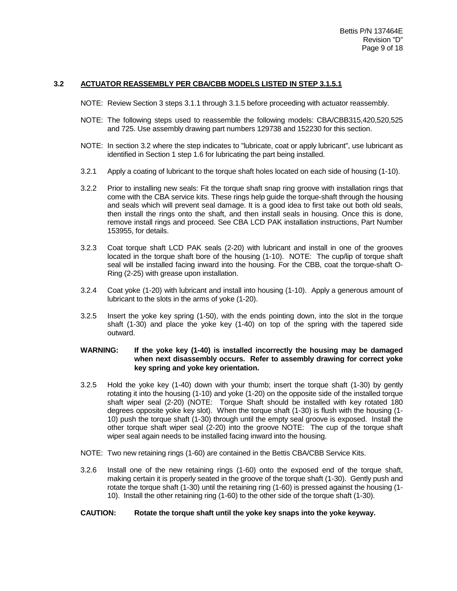#### **3.2 ACTUATOR REASSEMBLY PER CBA/CBB MODELS LISTED IN STEP 3.1.5.1**

- NOTE: Review Section 3 steps 3.1.1 through 3.1.5 before proceeding with actuator reassembly.
- NOTE: The following steps used to reassemble the following models: CBA/CBB315,420,520,525 and 725. Use assembly drawing part numbers 129738 and 152230 for this section.
- NOTE: In section 3.2 where the step indicates to "lubricate, coat or apply lubricant", use lubricant as identified in Section 1 step 1.6 for lubricating the part being installed.
- 3.2.1 Apply a coating of lubricant to the torque shaft holes located on each side of housing (1-10).
- 3.2.2 Prior to installing new seals: Fit the torque shaft snap ring groove with installation rings that come with the CBA service kits. These rings help guide the torque-shaft through the housing and seals which will prevent seal damage. It is a good idea to first take out both old seals, then install the rings onto the shaft, and then install seals in housing. Once this is done, remove install rings and proceed. See CBA LCD PAK installation instructions, Part Number 153955, for details.
- 3.2.3 Coat torque shaft LCD PAK seals (2-20) with lubricant and install in one of the grooves located in the torque shaft bore of the housing (1-10). NOTE: The cup/lip of torque shaft seal will be installed facing inward into the housing. For the CBB, coat the torque-shaft O-Ring (2-25) with grease upon installation.
- 3.2.4 Coat yoke (1-20) with lubricant and install into housing (1-10). Apply a generous amount of lubricant to the slots in the arms of yoke (1-20).
- 3.2.5 Insert the yoke key spring (1-50), with the ends pointing down, into the slot in the torque shaft (1-30) and place the yoke key (1-40) on top of the spring with the tapered side outward.

#### **WARNING: If the yoke key (1-40) is installed incorrectly the housing may be damaged when next disassembly occurs. Refer to assembly drawing for correct yoke key spring and yoke key orientation.**

- 3.2.5 Hold the yoke key (1-40) down with your thumb; insert the torque shaft (1-30) by gently rotating it into the housing (1-10) and yoke (1-20) on the opposite side of the installed torque shaft wiper seal (2-20) (NOTE: Torque Shaft should be installed with key rotated 180 degrees opposite yoke key slot). When the torque shaft (1-30) is flush with the housing (1- 10) push the torque shaft (1-30) through until the empty seal groove is exposed. Install the other torque shaft wiper seal (2-20) into the groove NOTE: The cup of the torque shaft wiper seal again needs to be installed facing inward into the housing.
- NOTE: Two new retaining rings (1-60) are contained in the Bettis CBA/CBB Service Kits.
- 3.2.6 Install one of the new retaining rings (1-60) onto the exposed end of the torque shaft, making certain it is properly seated in the groove of the torque shaft (1-30). Gently push and rotate the torque shaft (1-30) until the retaining ring (1-60) is pressed against the housing (1- 10). Install the other retaining ring (1-60) to the other side of the torque shaft (1-30).

#### **CAUTION: Rotate the torque shaft until the yoke key snaps into the yoke keyway.**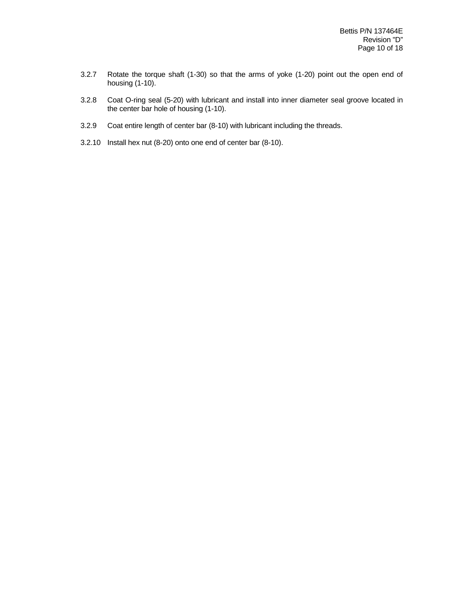- 3.2.7 Rotate the torque shaft (1-30) so that the arms of yoke (1-20) point out the open end of housing (1-10).
- 3.2.8 Coat O-ring seal (5-20) with lubricant and install into inner diameter seal groove located in the center bar hole of housing (1-10).
- 3.2.9 Coat entire length of center bar (8-10) with lubricant including the threads.
- 3.2.10 Install hex nut (8-20) onto one end of center bar (8-10).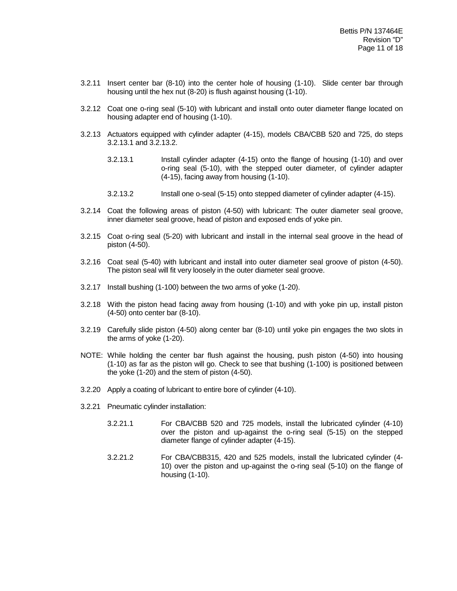- 3.2.11 Insert center bar (8-10) into the center hole of housing (1-10). Slide center bar through housing until the hex nut (8-20) is flush against housing (1-10).
- 3.2.12 Coat one o-ring seal (5-10) with lubricant and install onto outer diameter flange located on housing adapter end of housing (1-10).
- 3.2.13 Actuators equipped with cylinder adapter (4-15), models CBA/CBB 520 and 725, do steps 3.2.13.1 and 3.2.13.2.
	- 3.2.13.1 Install cylinder adapter (4-15) onto the flange of housing (1-10) and over o-ring seal (5-10), with the stepped outer diameter, of cylinder adapter (4-15), facing away from housing (1-10).
	- 3.2.13.2 Install one o-seal (5-15) onto stepped diameter of cylinder adapter (4-15).
- 3.2.14 Coat the following areas of piston (4-50) with lubricant: The outer diameter seal groove, inner diameter seal groove, head of piston and exposed ends of yoke pin.
- 3.2.15 Coat o-ring seal (5-20) with lubricant and install in the internal seal groove in the head of piston (4-50).
- 3.2.16 Coat seal (5-40) with lubricant and install into outer diameter seal groove of piston (4-50). The piston seal will fit very loosely in the outer diameter seal groove.
- 3.2.17 Install bushing (1-100) between the two arms of yoke (1-20).
- 3.2.18 With the piston head facing away from housing (1-10) and with yoke pin up, install piston (4-50) onto center bar (8-10).
- 3.2.19 Carefully slide piston (4-50) along center bar (8-10) until yoke pin engages the two slots in the arms of yoke (1-20).
- NOTE: While holding the center bar flush against the housing, push piston (4-50) into housing (1-10) as far as the piston will go. Check to see that bushing (1-100) is positioned between the yoke (1-20) and the stem of piston (4-50).
- 3.2.20 Apply a coating of lubricant to entire bore of cylinder (4-10).
- 3.2.21 Pneumatic cylinder installation:
	- 3.2.21.1 For CBA/CBB 520 and 725 models, install the lubricated cylinder (4-10) over the piston and up-against the o-ring seal (5-15) on the stepped diameter flange of cylinder adapter (4-15).
	- 3.2.21.2 For CBA/CBB315, 420 and 525 models, install the lubricated cylinder (4- 10) over the piston and up-against the o-ring seal (5-10) on the flange of housing (1-10).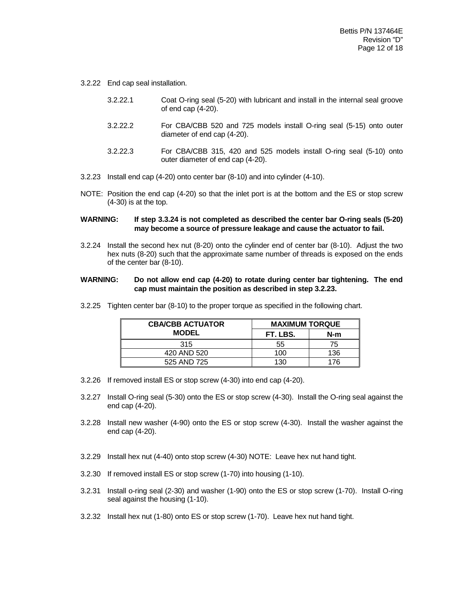- 3.2.22 End cap seal installation.
	- 3.2.22.1 Coat O-ring seal (5-20) with lubricant and install in the internal seal groove of end cap (4-20).
	- 3.2.22.2 For CBA/CBB 520 and 725 models install O-ring seal (5-15) onto outer diameter of end cap (4-20).
	- 3.2.22.3 For CBA/CBB 315, 420 and 525 models install O-ring seal (5-10) onto outer diameter of end cap (4-20).
- 3.2.23 Install end cap (4-20) onto center bar (8-10) and into cylinder (4-10).
- NOTE: Position the end cap (4-20) so that the inlet port is at the bottom and the ES or stop screw (4-30) is at the top.

#### **WARNING: If step 3.3.24 is not completed as described the center bar O-ring seals (5-20) may become a source of pressure leakage and cause the actuator to fail.**

3.2.24 Install the second hex nut (8-20) onto the cylinder end of center bar (8-10). Adjust the two hex nuts (8-20) such that the approximate same number of threads is exposed on the ends of the center bar (8-10).

#### **WARNING: Do not allow end cap (4-20) to rotate during center bar tightening. The end cap must maintain the position as described in step 3.2.23.**

| <b>CBA/CBB ACTUATOR</b> | <b>MAXIMUM TORQUE</b> |     |
|-------------------------|-----------------------|-----|
| <b>MODEL</b>            | FT. LBS.              | N-m |
| 315                     | 55                    | 75  |
| 420 AND 520             | 100                   | 136 |
| 525 AND 725             | 130                   | 176 |

3.2.25 Tighten center bar (8-10) to the proper torque as specified in the following chart.

- 3.2.26 If removed install ES or stop screw (4-30) into end cap (4-20).
- 3.2.27 Install O-ring seal (5-30) onto the ES or stop screw (4-30). Install the O-ring seal against the end cap (4-20).
- 3.2.28 Install new washer (4-90) onto the ES or stop screw (4-30). Install the washer against the end cap (4-20).
- 3.2.29 Install hex nut (4-40) onto stop screw (4-30) NOTE: Leave hex nut hand tight.
- 3.2.30 If removed install ES or stop screw (1-70) into housing (1-10).
- 3.2.31 Install o-ring seal (2-30) and washer (1-90) onto the ES or stop screw (1-70). Install O-ring seal against the housing (1-10).
- 3.2.32 Install hex nut (1-80) onto ES or stop screw (1-70). Leave hex nut hand tight.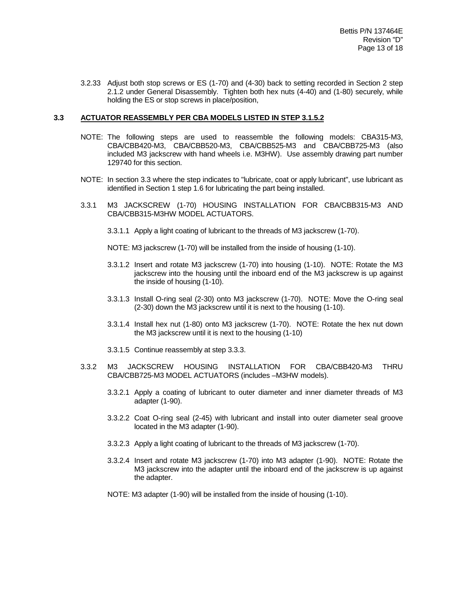3.2.33 Adjust both stop screws or ES (1-70) and (4-30) back to setting recorded in Section 2 step 2.1.2 under General Disassembly. Tighten both hex nuts (4-40) and (1-80) securely, while holding the ES or stop screws in place/position,

#### **3.3 ACTUATOR REASSEMBLY PER CBA MODELS LISTED IN STEP 3.1.5.2**

- NOTE: The following steps are used to reassemble the following models: CBA315-M3, CBA/CBB420-M3, CBA/CBB520-M3, CBA/CBB525-M3 and CBA/CBB725-M3 (also included M3 jackscrew with hand wheels i.e. M3HW). Use assembly drawing part number 129740 for this section.
- NOTE: In section 3.3 where the step indicates to "lubricate, coat or apply lubricant", use lubricant as identified in Section 1 step 1.6 for lubricating the part being installed.
- 3.3.1 M3 JACKSCREW (1-70) HOUSING INSTALLATION FOR CBA/CBB315-M3 AND CBA/CBB315-M3HW MODEL ACTUATORS.
	- 3.3.1.1 Apply a light coating of lubricant to the threads of M3 jackscrew (1-70).
	- NOTE: M3 jackscrew (1-70) will be installed from the inside of housing (1-10).
	- 3.3.1.2 Insert and rotate M3 jackscrew (1-70) into housing (1-10). NOTE: Rotate the M3 jackscrew into the housing until the inboard end of the M3 jackscrew is up against the inside of housing (1-10).
	- 3.3.1.3 Install O-ring seal (2-30) onto M3 jackscrew (1-70). NOTE: Move the O-ring seal (2-30) down the M3 jackscrew until it is next to the housing (1-10).
	- 3.3.1.4 Install hex nut (1-80) onto M3 jackscrew (1-70). NOTE: Rotate the hex nut down the M3 jackscrew until it is next to the housing (1-10)
	- 3.3.1.5 Continue reassembly at step 3.3.3.
- 3.3.2 M3 JACKSCREW HOUSING INSTALLATION FOR CBA/CBB420-M3 THRU CBA/CBB725-M3 MODEL ACTUATORS (includes –M3HW models).
	- 3.3.2.1 Apply a coating of lubricant to outer diameter and inner diameter threads of M3 adapter (1-90).
	- 3.3.2.2 Coat O-ring seal (2-45) with lubricant and install into outer diameter seal groove located in the M3 adapter (1-90).
	- 3.3.2.3 Apply a light coating of lubricant to the threads of M3 jackscrew (1-70).
	- 3.3.2.4 Insert and rotate M3 jackscrew (1-70) into M3 adapter (1-90). NOTE: Rotate the M3 jackscrew into the adapter until the inboard end of the jackscrew is up against the adapter.
	- NOTE: M3 adapter (1-90) will be installed from the inside of housing (1-10).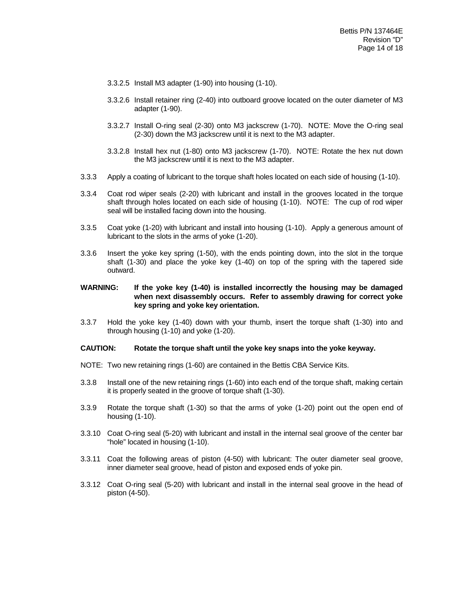- 3.3.2.5 Install M3 adapter (1-90) into housing (1-10).
- 3.3.2.6 Install retainer ring (2-40) into outboard groove located on the outer diameter of M3 adapter (1-90).
- 3.3.2.7 Install O-ring seal (2-30) onto M3 jackscrew (1-70). NOTE: Move the O-ring seal (2-30) down the M3 jackscrew until it is next to the M3 adapter.
- 3.3.2.8 Install hex nut (1-80) onto M3 jackscrew (1-70). NOTE: Rotate the hex nut down the M3 jackscrew until it is next to the M3 adapter.
- 3.3.3 Apply a coating of lubricant to the torque shaft holes located on each side of housing (1-10).
- 3.3.4 Coat rod wiper seals (2-20) with lubricant and install in the grooves located in the torque shaft through holes located on each side of housing (1-10). NOTE: The cup of rod wiper seal will be installed facing down into the housing.
- 3.3.5 Coat yoke (1-20) with lubricant and install into housing (1-10). Apply a generous amount of lubricant to the slots in the arms of yoke (1-20).
- 3.3.6 Insert the yoke key spring (1-50), with the ends pointing down, into the slot in the torque shaft (1-30) and place the yoke key (1-40) on top of the spring with the tapered side outward.

#### **WARNING: If the yoke key (1-40) is installed incorrectly the housing may be damaged when next disassembly occurs. Refer to assembly drawing for correct yoke key spring and yoke key orientation.**

3.3.7 Hold the yoke key (1-40) down with your thumb, insert the torque shaft (1-30) into and through housing (1-10) and yoke (1-20).

#### **CAUTION: Rotate the torque shaft until the yoke key snaps into the yoke keyway.**

- NOTE: Two new retaining rings (1-60) are contained in the Bettis CBA Service Kits.
- 3.3.8 Install one of the new retaining rings (1-60) into each end of the torque shaft, making certain it is properly seated in the groove of torque shaft (1-30).
- 3.3.9 Rotate the torque shaft (1-30) so that the arms of yoke (1-20) point out the open end of housing (1-10).
- 3.3.10 Coat O-ring seal (5-20) with lubricant and install in the internal seal groove of the center bar "hole" located in housing (1-10).
- 3.3.11 Coat the following areas of piston (4-50) with lubricant: The outer diameter seal groove, inner diameter seal groove, head of piston and exposed ends of yoke pin.
- 3.3.12 Coat O-ring seal (5-20) with lubricant and install in the internal seal groove in the head of piston (4-50).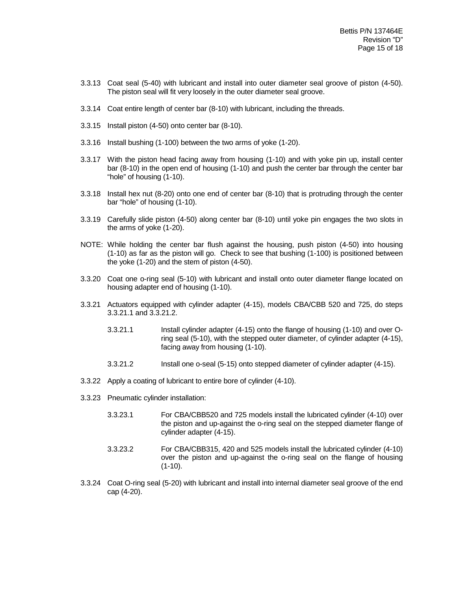- 3.3.13 Coat seal (5-40) with lubricant and install into outer diameter seal groove of piston (4-50). The piston seal will fit very loosely in the outer diameter seal groove.
- 3.3.14 Coat entire length of center bar (8-10) with lubricant, including the threads.
- 3.3.15 Install piston (4-50) onto center bar (8-10).
- 3.3.16 Install bushing (1-100) between the two arms of yoke (1-20).
- 3.3.17 With the piston head facing away from housing (1-10) and with yoke pin up, install center bar (8-10) in the open end of housing (1-10) and push the center bar through the center bar "hole" of housing (1-10).
- 3.3.18 Install hex nut (8-20) onto one end of center bar (8-10) that is protruding through the center bar "hole" of housing (1-10).
- 3.3.19 Carefully slide piston (4-50) along center bar (8-10) until yoke pin engages the two slots in the arms of yoke (1-20).
- NOTE: While holding the center bar flush against the housing, push piston (4-50) into housing (1-10) as far as the piston will go. Check to see that bushing (1-100) is positioned between the yoke (1-20) and the stem of piston (4-50).
- 3.3.20 Coat one o-ring seal (5-10) with lubricant and install onto outer diameter flange located on housing adapter end of housing (1-10).
- 3.3.21 Actuators equipped with cylinder adapter (4-15), models CBA/CBB 520 and 725, do steps 3.3.21.1 and 3.3.21.2.
	- 3.3.21.1 Install cylinder adapter (4-15) onto the flange of housing (1-10) and over Oring seal (5-10), with the stepped outer diameter, of cylinder adapter (4-15), facing away from housing (1-10).
	- 3.3.21.2 Install one o-seal (5-15) onto stepped diameter of cylinder adapter (4-15).
- 3.3.22 Apply a coating of lubricant to entire bore of cylinder (4-10).
- 3.3.23 Pneumatic cylinder installation:
	- 3.3.23.1 For CBA/CBB520 and 725 models install the lubricated cylinder (4-10) over the piston and up-against the o-ring seal on the stepped diameter flange of cylinder adapter (4-15).
	- 3.3.23.2 For CBA/CBB315, 420 and 525 models install the lubricated cylinder (4-10) over the piston and up-against the o-ring seal on the flange of housing  $(1-10)$ .
- 3.3.24 Coat O-ring seal (5-20) with lubricant and install into internal diameter seal groove of the end cap (4-20).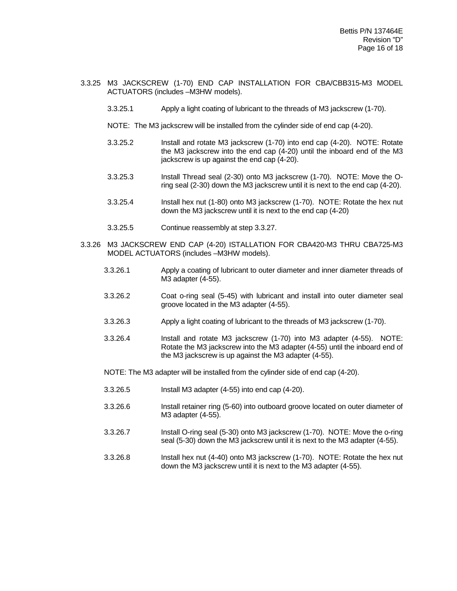- 3.3.25 M3 JACKSCREW (1-70) END CAP INSTALLATION FOR CBA/CBB315-M3 MODEL ACTUATORS (includes –M3HW models).
	- 3.3.25.1 Apply a light coating of lubricant to the threads of M3 jackscrew (1-70).
	- NOTE: The M3 jackscrew will be installed from the cylinder side of end cap (4-20).
	- 3.3.25.2 Install and rotate M3 jackscrew (1-70) into end cap (4-20). NOTE: Rotate the M3 jackscrew into the end cap (4-20) until the inboard end of the M3 jackscrew is up against the end cap (4-20).
	- 3.3.25.3 Install Thread seal (2-30) onto M3 jackscrew (1-70). NOTE: Move the Oring seal (2-30) down the M3 jackscrew until it is next to the end cap (4-20).
	- 3.3.25.4 Install hex nut (1-80) onto M3 jackscrew (1-70). NOTE: Rotate the hex nut down the M3 jackscrew until it is next to the end cap (4-20)
	- 3.3.25.5 Continue reassembly at step 3.3.27.
- 3.3.26 M3 JACKSCREW END CAP (4-20) ISTALLATION FOR CBA420-M3 THRU CBA725-M3 MODEL ACTUATORS (includes –M3HW models).
	- 3.3.26.1 Apply a coating of lubricant to outer diameter and inner diameter threads of M3 adapter (4-55).
	- 3.3.26.2 Coat o-ring seal (5-45) with lubricant and install into outer diameter seal groove located in the M3 adapter (4-55).
	- 3.3.26.3 Apply a light coating of lubricant to the threads of M3 jackscrew (1-70).
	- 3.3.26.4 Install and rotate M3 jackscrew (1-70) into M3 adapter (4-55). NOTE: Rotate the M3 jackscrew into the M3 adapter (4-55) until the inboard end of the M3 jackscrew is up against the M3 adapter (4-55).
	- NOTE: The M3 adapter will be installed from the cylinder side of end cap (4-20).
	- 3.3.26.5 Install M3 adapter (4-55) into end cap (4-20).
	- 3.3.26.6 Install retainer ring (5-60) into outboard groove located on outer diameter of M3 adapter (4-55).
	- 3.3.26.7 Install O-ring seal (5-30) onto M3 jackscrew (1-70). NOTE: Move the o-ring seal (5-30) down the M3 jackscrew until it is next to the M3 adapter (4-55).
	- 3.3.26.8 Install hex nut (4-40) onto M3 jackscrew (1-70). NOTE: Rotate the hex nut down the M3 jackscrew until it is next to the M3 adapter (4-55).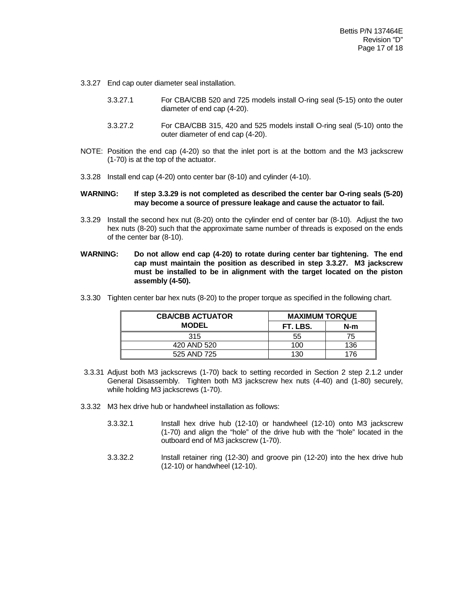- 3.3.27 End cap outer diameter seal installation.
	- 3.3.27.1 For CBA/CBB 520 and 725 models install O-ring seal (5-15) onto the outer diameter of end cap (4-20).
	- 3.3.27.2 For CBA/CBB 315, 420 and 525 models install O-ring seal (5-10) onto the outer diameter of end cap (4-20).
- NOTE: Position the end cap (4-20) so that the inlet port is at the bottom and the M3 jackscrew (1-70) is at the top of the actuator.
- 3.3.28 Install end cap (4-20) onto center bar (8-10) and cylinder (4-10).

#### **WARNING: If step 3.3.29 is not completed as described the center bar O-ring seals (5-20) may become a source of pressure leakage and cause the actuator to fail.**

- 3.3.29 Install the second hex nut (8-20) onto the cylinder end of center bar (8-10). Adjust the two hex nuts (8-20) such that the approximate same number of threads is exposed on the ends of the center bar (8-10).
- **WARNING: Do not allow end cap (4-20) to rotate during center bar tightening. The end cap must maintain the position as described in step 3.3.27. M3 jackscrew must be installed to be in alignment with the target located on the piston assembly (4-50).**
- 3.3.30 Tighten center bar hex nuts (8-20) to the proper torque as specified in the following chart.

| <b>CBA/CBB ACTUATOR</b> | <b>MAXIMUM TORQUE</b> |     |  |
|-------------------------|-----------------------|-----|--|
| <b>MODEL</b>            | FT. LBS.              | N-m |  |
| 315                     | 55                    | 75  |  |
| 420 AND 520             | 100                   | 136 |  |
| 525 AND 725             | 130                   | 176 |  |

- 3.3.31 Adjust both M3 jackscrews (1-70) back to setting recorded in Section 2 step 2.1.2 under General Disassembly. Tighten both M3 jackscrew hex nuts (4-40) and (1-80) securely, while holding M3 jackscrews (1-70).
- 3.3.32 M3 hex drive hub or handwheel installation as follows:
	- 3.3.32.1 Install hex drive hub (12-10) or handwheel (12-10) onto M3 jackscrew (1-70) and align the "hole" of the drive hub with the "hole" located in the outboard end of M3 jackscrew (1-70).
	- 3.3.32.2 Install retainer ring (12-30) and groove pin (12-20) into the hex drive hub (12-10) or handwheel (12-10).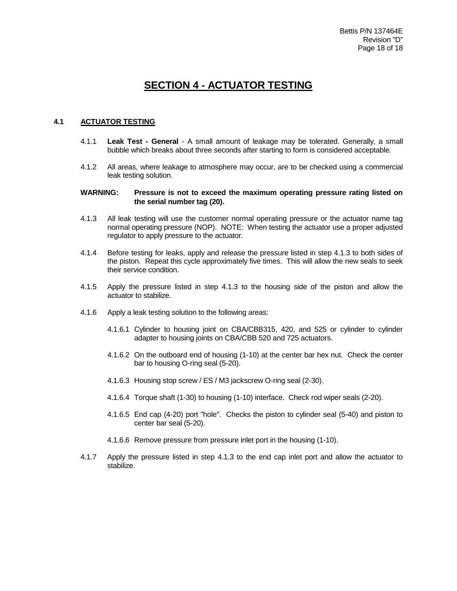## **SECTION 4 - ACTUATOR TESTING**

#### **4.1 ACTUATOR TESTING**

- 4.1.1 **Leak Test - General** A small amount of leakage may be tolerated. Generally, a small bubble which breaks about three seconds after starting to form is considered acceptable.
- 4.1.2 All areas, where leakage to atmosphere may occur, are to be checked using a commercial leak testing solution.

#### **WARNING: Pressure is not to exceed the maximum operating pressure rating listed on the serial number tag (20).**

- 4.1.3 All leak testing will use the customer normal operating pressure or the actuator name tag normal operating pressure (NOP). NOTE: When testing the actuator use a proper adjusted regulator to apply pressure to the actuator.
- 4.1.4 Before testing for leaks, apply and release the pressure listed in step 4.1.3 to both sides of the piston. Repeat this cycle approximately five times. This will allow the new seals to seek their service condition.
- 4.1.5 Apply the pressure listed in step 4.1.3 to the housing side of the piston and allow the actuator to stabilize.
- 4.1.6 Apply a leak testing solution to the following areas:
	- 4.1.6.1 Cylinder to housing joint on CBA/CBB315, 420, and 525 or cylinder to cylinder adapter to housing joints on CBA/CBB 520 and 725 actuators.
	- 4.1.6.2 On the outboard end of housing (1-10) at the center bar hex nut. Check the center bar to housing O-ring seal (5-20).
	- 4.1.6.3 Housing stop screw / ES / M3 jackscrew O-ring seal (2-30).
	- 4.1.6.4 Torque shaft (1-30) to housing (1-10) interface. Check rod wiper seals (2-20).
	- 4.1.6.5 End cap (4-20) port "hole". Checks the piston to cylinder seal (5-40) and piston to center bar seal (5-20).
	- 4.1.6.6 Remove pressure from pressure inlet port in the housing (1-10).
- 4.1.7 Apply the pressure listed in step 4.1.3 to the end cap inlet port and allow the actuator to stabilize.